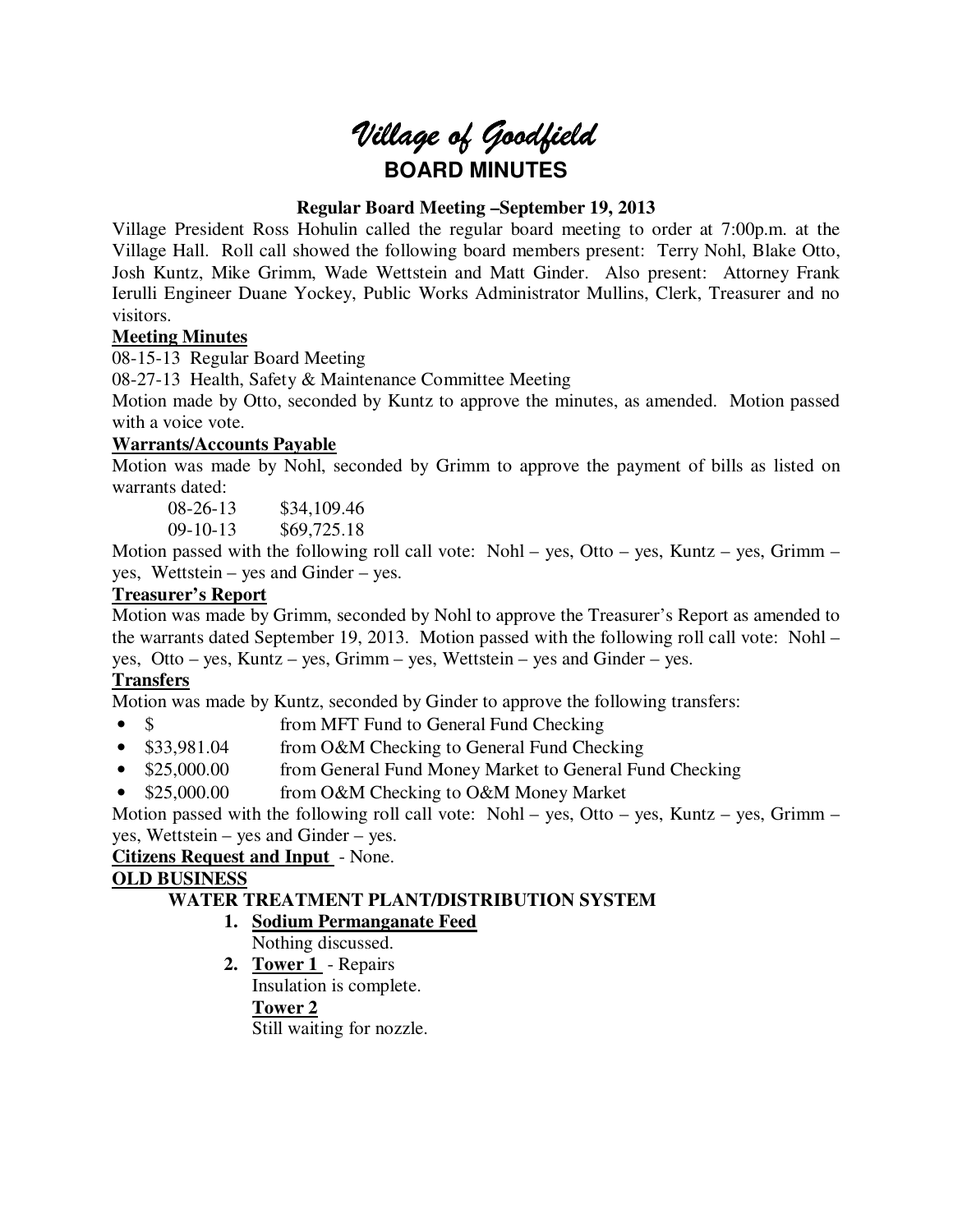# *Village of Goodfield* **BOARD MINUTES**

## **Regular Board Meeting –September 19, 2013**

Village President Ross Hohulin called the regular board meeting to order at 7:00p.m. at the Village Hall. Roll call showed the following board members present: Terry Nohl, Blake Otto, Josh Kuntz, Mike Grimm, Wade Wettstein and Matt Ginder. Also present: Attorney Frank Ierulli Engineer Duane Yockey, Public Works Administrator Mullins, Clerk, Treasurer and no visitors.

## **Meeting Minutes**

08-15-13 Regular Board Meeting

08-27-13 Health, Safety & Maintenance Committee Meeting

Motion made by Otto, seconded by Kuntz to approve the minutes, as amended. Motion passed with a voice vote.

## **Warrants/Accounts Payable**

Motion was made by Nohl, seconded by Grimm to approve the payment of bills as listed on warrants dated:

08-26-13 \$34,109.46

09-10-13 \$69,725.18

Motion passed with the following roll call vote: Nohl – yes, Otto – yes, Kuntz – yes, Grimm – yes, Wettstein – yes and Ginder – yes.

## **Treasurer's Report**

Motion was made by Grimm, seconded by Nohl to approve the Treasurer's Report as amended to the warrants dated September 19, 2013. Motion passed with the following roll call vote: Nohl – yes, Otto – yes, Kuntz – yes, Grimm – yes, Wettstein – yes and Ginder – yes.

## **Transfers**

Motion was made by Kuntz, seconded by Ginder to approve the following transfers:

- \$ from MFT Fund to General Fund Checking
- \$33,981.04 from O&M Checking to General Fund Checking
- \$25,000.00 from General Fund Money Market to General Fund Checking
- \$25,000.00 from O&M Checking to O&M Money Market

Motion passed with the following roll call vote: Nohl – yes, Otto – yes, Kuntz – yes, Grimm – yes, Wettstein – yes and Ginder – yes.

### **Citizens Request and Input** - None.

## **OLD BUSINESS**

## **WATER TREATMENT PLANT/DISTRIBUTION SYSTEM**

- **1. Sodium Permanganate Feed**  Nothing discussed.
- **2. Tower 1**  Repairs Insulation is complete. **Tower 2**  Still waiting for nozzle.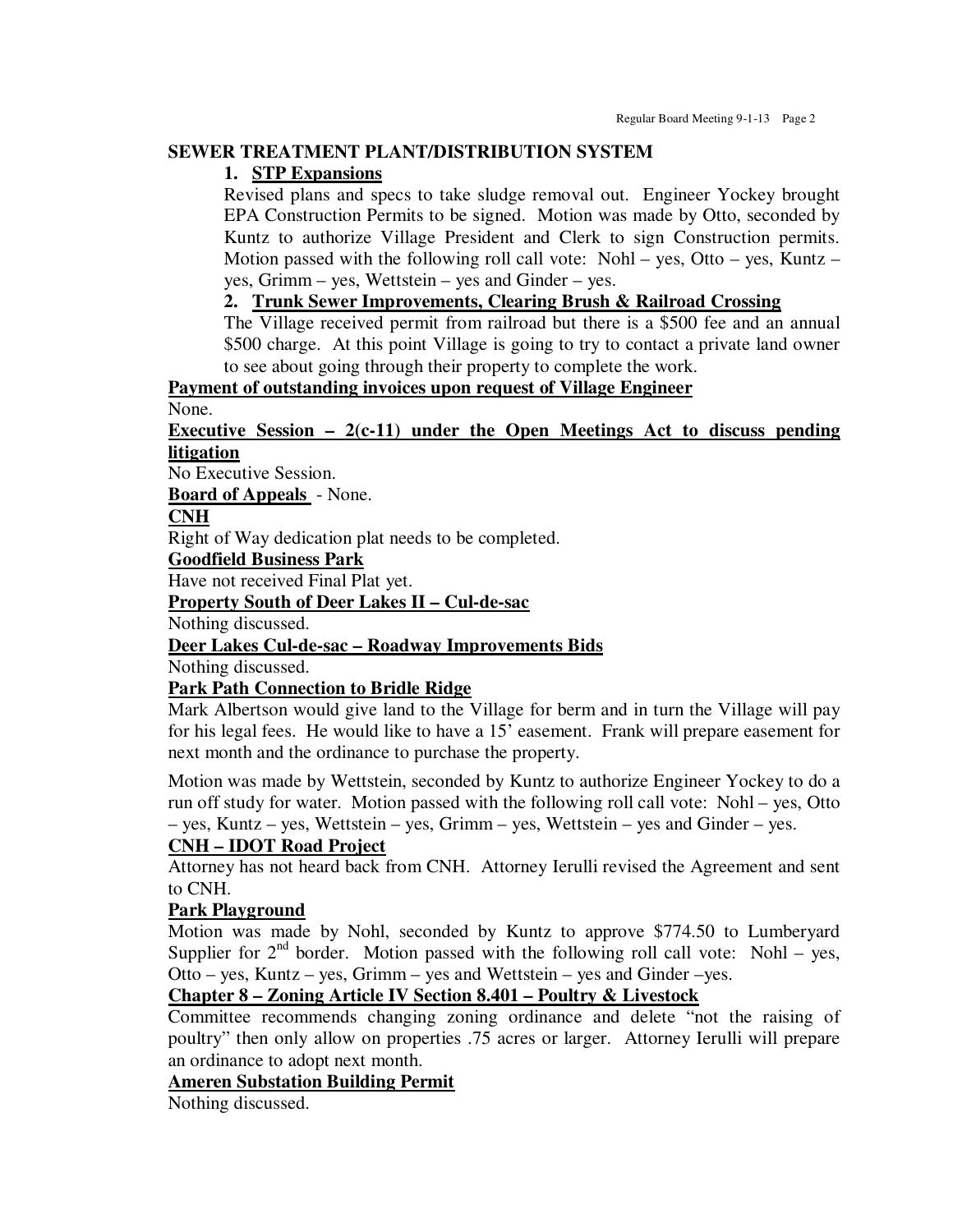#### **SEWER TREATMENT PLANT/DISTRIBUTION SYSTEM**

#### **1. STP Expansions**

Revised plans and specs to take sludge removal out. Engineer Yockey brought EPA Construction Permits to be signed. Motion was made by Otto, seconded by Kuntz to authorize Village President and Clerk to sign Construction permits. Motion passed with the following roll call vote: Nohl – yes, Otto – yes, Kuntz – yes, Grimm – yes, Wettstein – yes and Ginder – yes.

### **2. Trunk Sewer Improvements, Clearing Brush & Railroad Crossing**

The Village received permit from railroad but there is a \$500 fee and an annual \$500 charge. At this point Village is going to try to contact a private land owner to see about going through their property to complete the work.

**Payment of outstanding invoices upon request of Village Engineer**  None.

#### **Executive Session – 2(c-11) under the Open Meetings Act to discuss pending litigation**

No Executive Session.

**Board of Appeals** - None.

#### **CNH**

Right of Way dedication plat needs to be completed.

#### **Goodfield Business Park**

Have not received Final Plat yet.

#### **Property South of Deer Lakes II – Cul-de-sac**

Nothing discussed.

#### **Deer Lakes Cul-de-sac – Roadway Improvements Bids**

Nothing discussed.

#### **Park Path Connection to Bridle Ridge**

Mark Albertson would give land to the Village for berm and in turn the Village will pay for his legal fees. He would like to have a 15' easement. Frank will prepare easement for next month and the ordinance to purchase the property.

Motion was made by Wettstein, seconded by Kuntz to authorize Engineer Yockey to do a run off study for water. Motion passed with the following roll call vote: Nohl – yes, Otto – yes, Kuntz – yes, Wettstein – yes, Grimm – yes, Wettstein – yes and Ginder – yes.

#### **CNH – IDOT Road Project**

Attorney has not heard back from CNH. Attorney Ierulli revised the Agreement and sent to CNH.

## **Park Playground**

Motion was made by Nohl, seconded by Kuntz to approve \$774.50 to Lumberyard Supplier for  $2<sup>nd</sup>$  border. Motion passed with the following roll call vote: Nohl – yes, Otto – yes, Kuntz – yes, Grimm – yes and Wettstein – yes and Ginder –yes.

## **Chapter 8 – Zoning Article IV Section 8.401 – Poultry & Livestock**

Committee recommends changing zoning ordinance and delete "not the raising of poultry" then only allow on properties .75 acres or larger. Attorney Ierulli will prepare an ordinance to adopt next month.

#### **Ameren Substation Building Permit**

Nothing discussed.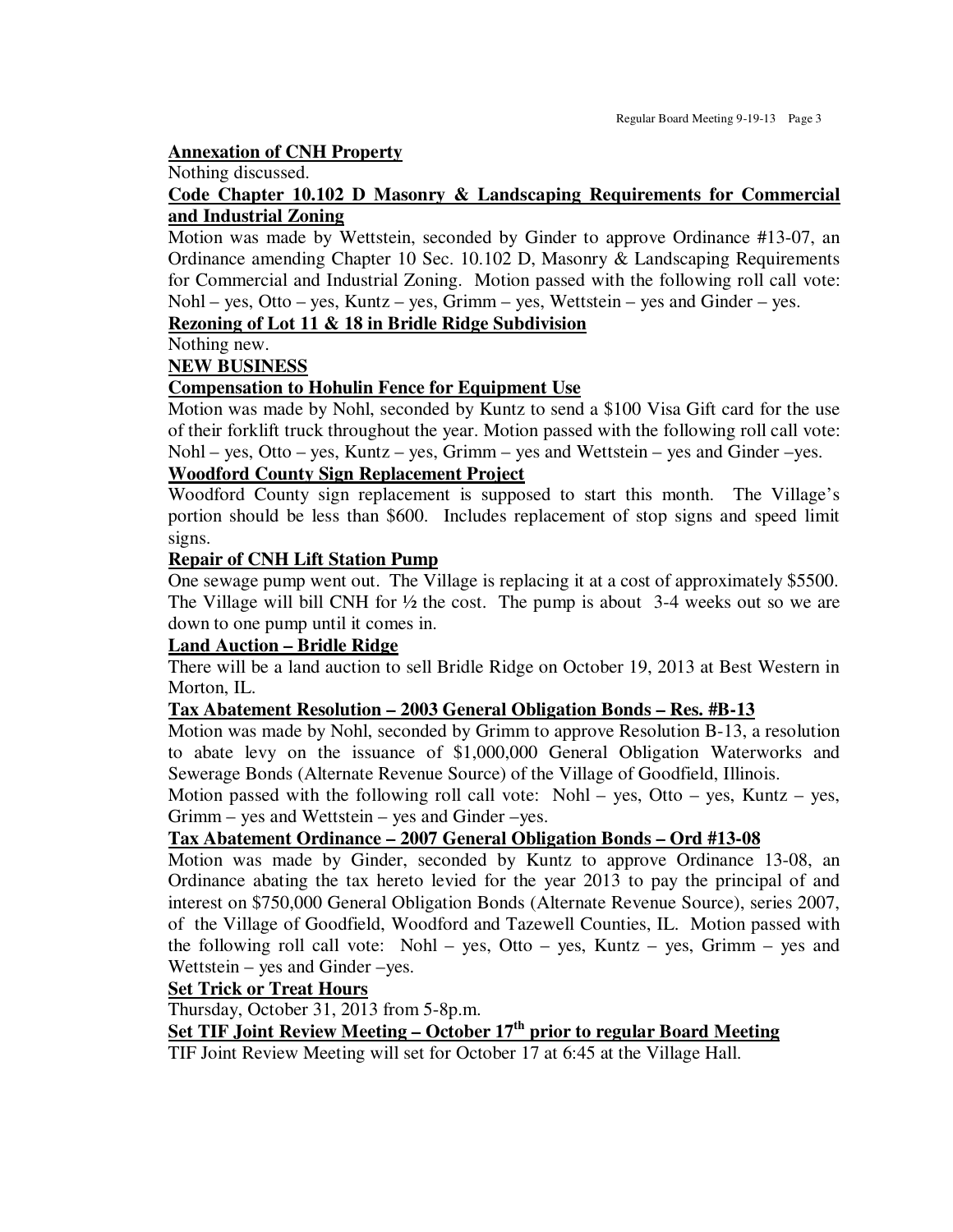#### **Annexation of CNH Property**

Nothing discussed.

#### **Code Chapter 10.102 D Masonry & Landscaping Requirements for Commercial and Industrial Zoning**

Motion was made by Wettstein, seconded by Ginder to approve Ordinance #13-07, an Ordinance amending Chapter 10 Sec. 10.102 D, Masonry & Landscaping Requirements for Commercial and Industrial Zoning. Motion passed with the following roll call vote: Nohl – yes, Otto – yes, Kuntz – yes, Grimm – yes, Wettstein – yes and Ginder – yes.

#### **Rezoning of Lot 11 & 18 in Bridle Ridge Subdivision**

Nothing new.

#### **NEW BUSINESS**

#### **Compensation to Hohulin Fence for Equipment Use**

Motion was made by Nohl, seconded by Kuntz to send a \$100 Visa Gift card for the use of their forklift truck throughout the year. Motion passed with the following roll call vote: Nohl – yes, Otto – yes, Kuntz – yes, Grimm – yes and Wettstein – yes and Ginder –yes.

#### **Woodford County Sign Replacement Project**

Woodford County sign replacement is supposed to start this month. The Village's portion should be less than \$600. Includes replacement of stop signs and speed limit signs.

#### **Repair of CNH Lift Station Pump**

One sewage pump went out. The Village is replacing it at a cost of approximately \$5500. The Village will bill CNH for  $\frac{1}{2}$  the cost. The pump is about 3-4 weeks out so we are down to one pump until it comes in.

## **Land Auction – Bridle Ridge**

There will be a land auction to sell Bridle Ridge on October 19, 2013 at Best Western in Morton, IL.

#### **Tax Abatement Resolution – 2003 General Obligation Bonds – Res. #B-13**

Motion was made by Nohl, seconded by Grimm to approve Resolution B-13, a resolution to abate levy on the issuance of \$1,000,000 General Obligation Waterworks and Sewerage Bonds (Alternate Revenue Source) of the Village of Goodfield, Illinois.

Motion passed with the following roll call vote: Nohl – yes, Otto – yes, Kuntz – yes, Grimm – yes and Wettstein – yes and Ginder –yes.

#### **Tax Abatement Ordinance – 2007 General Obligation Bonds – Ord #13-08**

Motion was made by Ginder, seconded by Kuntz to approve Ordinance 13-08, an Ordinance abating the tax hereto levied for the year 2013 to pay the principal of and interest on \$750,000 General Obligation Bonds (Alternate Revenue Source), series 2007, of the Village of Goodfield, Woodford and Tazewell Counties, IL. Motion passed with the following roll call vote: Nohl – yes, Otto – yes, Kuntz – yes, Grimm – yes and Wettstein – yes and Ginder –yes.

#### **Set Trick or Treat Hours**

Thursday, October 31, 2013 from 5-8p.m.

## **Set TIF Joint Review Meeting – October 17th prior to regular Board Meeting**

TIF Joint Review Meeting will set for October 17 at 6:45 at the Village Hall.